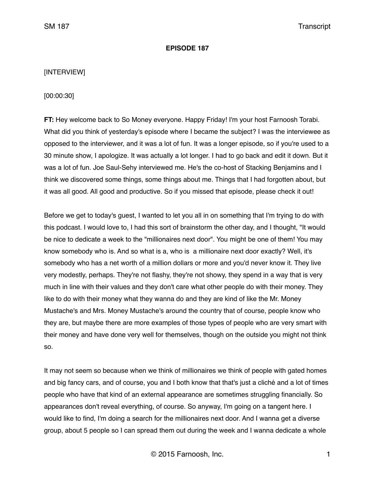#### **EPISODE 187**

#### [INTERVIEW]

[00:00:30]

**FT:** Hey welcome back to So Money everyone. Happy Friday! I'm your host Farnoosh Torabi. What did you think of yesterday's episode where I became the subject? I was the interviewee as opposed to the interviewer, and it was a lot of fun. It was a longer episode, so if you're used to a 30 minute show, I apologize. It was actually a lot longer. I had to go back and edit it down. But it was a lot of fun. Joe Saul-Sehy interviewed me. He's the co-host of Stacking Benjamins and I think we discovered some things, some things about me. Things that I had forgotten about, but it was all good. All good and productive. So if you missed that episode, please check it out!

Before we get to today's guest, I wanted to let you all in on something that I'm trying to do with this podcast. I would love to, I had this sort of brainstorm the other day, and I thought, "It would be nice to dedicate a week to the "millionaires next door". You might be one of them! You may know somebody who is. And so what is a, who is a millionaire next door exactly? Well, it's somebody who has a net worth of a million dollars or more and you'd never know it. They live very modestly, perhaps. They're not flashy, they're not showy, they spend in a way that is very much in line with their values and they don't care what other people do with their money. They like to do with their money what they wanna do and they are kind of like the Mr. Money Mustache's and Mrs. Money Mustache's around the country that of course, people know who they are, but maybe there are more examples of those types of people who are very smart with their money and have done very well for themselves, though on the outside you might not think so.

It may not seem so because when we think of millionaires we think of people with gated homes and big fancy cars, and of course, you and I both know that that's just a cliché and a lot of times people who have that kind of an external appearance are sometimes struggling financially. So appearances don't reveal everything, of course. So anyway, I'm going on a tangent here. I would like to find, I'm doing a search for the millionaires next door. And I wanna get a diverse group, about 5 people so I can spread them out during the week and I wanna dedicate a whole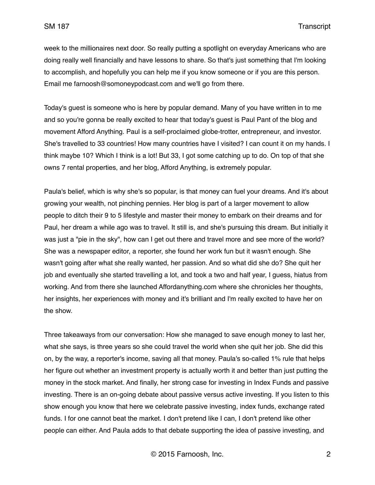week to the millionaires next door. So really putting a spotlight on everyday Americans who are doing really well financially and have lessons to share. So that's just something that I'm looking to accomplish, and hopefully you can help me if you know someone or if you are this person. Email me farnoosh@somoneypodcast.com and we'll go from there.

Today's guest is someone who is here by popular demand. Many of you have written in to me and so you're gonna be really excited to hear that today's guest is Paul Pant of the blog and movement Afford Anything. Paul is a self-proclaimed globe-trotter, entrepreneur, and investor. She's travelled to 33 countries! How many countries have I visited? I can count it on my hands. I think maybe 10? Which I think is a lot! But 33, I got some catching up to do. On top of that she owns 7 rental properties, and her blog, Afford Anything, is extremely popular.

Paula's belief, which is why she's so popular, is that money can fuel your dreams. And it's about growing your wealth, not pinching pennies. Her blog is part of a larger movement to allow people to ditch their 9 to 5 lifestyle and master their money to embark on their dreams and for Paul, her dream a while ago was to travel. It still is, and she's pursuing this dream. But initially it was just a "pie in the sky", how can I get out there and travel more and see more of the world? She was a newspaper editor, a reporter, she found her work fun but it wasn't enough. She wasn't going after what she really wanted, her passion. And so what did she do? She quit her job and eventually she started travelling a lot, and took a two and half year, I guess, hiatus from working. And from there she launched Affordanything.com where she chronicles her thoughts, her insights, her experiences with money and it's brilliant and I'm really excited to have her on the show.

Three takeaways from our conversation: How she managed to save enough money to last her, what she says, is three years so she could travel the world when she quit her job. She did this on, by the way, a reporter's income, saving all that money. Paula's so-called 1% rule that helps her figure out whether an investment property is actually worth it and better than just putting the money in the stock market. And finally, her strong case for investing in Index Funds and passive investing. There is an on-going debate about passive versus active investing. If you listen to this show enough you know that here we celebrate passive investing, index funds, exchange rated funds. I for one cannot beat the market. I don't pretend like I can, I don't pretend like other people can either. And Paula adds to that debate supporting the idea of passive investing, and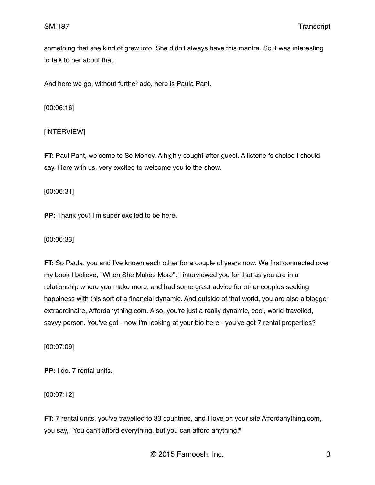something that she kind of grew into. She didn't always have this mantra. So it was interesting to talk to her about that.

And here we go, without further ado, here is Paula Pant.

[00:06:16]

### [INTERVIEW]

**FT:** Paul Pant, welcome to So Money. A highly sought-after guest. A listener's choice I should say. Here with us, very excited to welcome you to the show.

[00:06:31]

**PP:** Thank you! I'm super excited to be here.

[00:06:33]

**FT:** So Paula, you and I've known each other for a couple of years now. We first connected over my book I believe, "When She Makes More". I interviewed you for that as you are in a relationship where you make more, and had some great advice for other couples seeking happiness with this sort of a financial dynamic. And outside of that world, you are also a blogger extraordinaire, Affordanything.com. Also, you're just a really dynamic, cool, world-travelled, savvy person. You've got - now I'm looking at your bio here - you've got 7 rental properties?

[00:07:09]

**PP:** I do. 7 rental units.

[00:07:12]

**FT:** 7 rental units, you've travelled to 33 countries, and I love on your site Affordanything.com, you say, "You can't afford everything, but you can afford anything!"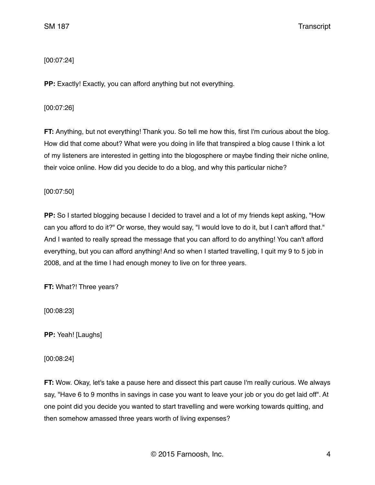# [00:07:24]

**PP:** Exactly! Exactly, you can afford anything but not everything.

# [00:07:26]

**FT:** Anything, but not everything! Thank you. So tell me how this, first I'm curious about the blog. How did that come about? What were you doing in life that transpired a blog cause I think a lot of my listeners are interested in getting into the blogosphere or maybe finding their niche online, their voice online. How did you decide to do a blog, and why this particular niche?

# [00:07:50]

**PP:** So I started blogging because I decided to travel and a lot of my friends kept asking, "How can you afford to do it?" Or worse, they would say, "I would love to do it, but I can't afford that." And I wanted to really spread the message that you can afford to do anything! You can't afford everything, but you can afford anything! And so when I started travelling, I quit my 9 to 5 job in 2008, and at the time I had enough money to live on for three years.

**FT:** What?! Three years?

[00:08:23]

**PP:** Yeah! [Laughs]

[00:08:24]

**FT:** Wow. Okay, let's take a pause here and dissect this part cause I'm really curious. We always say, "Have 6 to 9 months in savings in case you want to leave your job or you do get laid off". At one point did you decide you wanted to start travelling and were working towards quitting, and then somehow amassed three years worth of living expenses?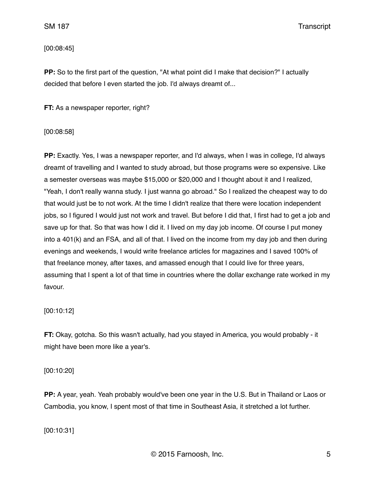[00:08:45]

**PP:** So to the first part of the question, "At what point did I make that decision?" I actually decided that before I even started the job. I'd always dreamt of...

**FT:** As a newspaper reporter, right?

[00:08:58]

**PP:** Exactly. Yes, I was a newspaper reporter, and I'd always, when I was in college, I'd always dreamt of travelling and I wanted to study abroad, but those programs were so expensive. Like a semester overseas was maybe \$15,000 or \$20,000 and I thought about it and I realized, "Yeah, I don't really wanna study. I just wanna go abroad." So I realized the cheapest way to do that would just be to not work. At the time I didn't realize that there were location independent jobs, so I figured I would just not work and travel. But before I did that, I first had to get a job and save up for that. So that was how I did it. I lived on my day job income. Of course I put money into a 401(k) and an FSA, and all of that. I lived on the income from my day job and then during evenings and weekends, I would write freelance articles for magazines and I saved 100% of that freelance money, after taxes, and amassed enough that I could live for three years, assuming that I spent a lot of that time in countries where the dollar exchange rate worked in my favour.

[00:10:12]

**FT:** Okay, gotcha. So this wasn't actually, had you stayed in America, you would probably - it might have been more like a year's.

[00:10:20]

**PP:** A year, yeah. Yeah probably would've been one year in the U.S. But in Thailand or Laos or Cambodia, you know, I spent most of that time in Southeast Asia, it stretched a lot further.

[00:10:31]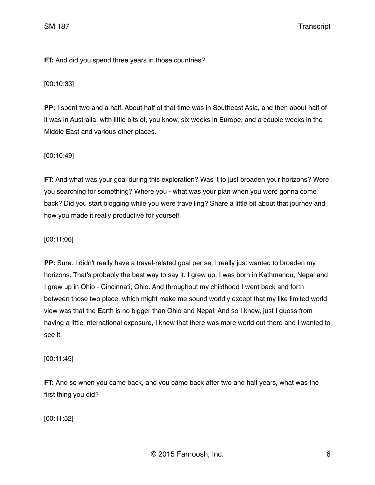**FT:** And did you spend three years in those countries?

[00:10:33]

**PP:** I spent two and a half. About half of that time was in Southeast Asia, and then about half of it was in Australia, with little bits of, you know, six weeks in Europe, and a couple weeks in the Middle East and various other places.

[00:10:49]

**FT:** And what was your goal during this exploration? Was it to just broaden your horizons? Were you searching for something? Where you - what was your plan when you were gonna come back? Did you start blogging while you were travelling? Share a little bit about that journey and how you made it really productive for yourself.

[00:11:06]

**PP:** Sure. I didn't really have a travel-related goal per se, I really just wanted to broaden my horizons. That's probably the best way to say it. I grew up, I was born in Kathmandu, Nepal and I grew up in Ohio - Cincinnati, Ohio. And throughout my childhood I went back and forth between those two place, which might make me sound worldly except that my like limited world view was that the Earth is no bigger than Ohio and Nepal. And so I knew, just I guess from having a little international exposure, I knew that there was more world out there and I wanted to see it.

[00:11:45]

**FT:** And so when you came back, and you came back after two and half years, what was the first thing you did?

[00:11:52]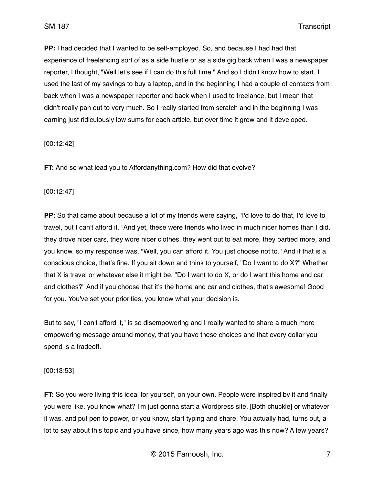**PP:** I had decided that I wanted to be self-employed. So, and because I had had that experience of freelancing sort of as a side hustle or as a side gig back when I was a newspaper reporter, I thought, "Well let's see if I can do this full time." And so I didn't know how to start. I used the last of my savings to buy a laptop, and in the beginning I had a couple of contacts from back when I was a newspaper reporter and back when I used to freelance, but I mean that didn't really pan out to very much. So I really started from scratch and in the beginning I was earning just ridiculously low sums for each article, but over time it grew and it developed.

#### [00:12:42]

**FT:** And so what lead you to Affordanything.com? How did that evolve?

#### [00:12:47]

**PP:** So that came about because a lot of my friends were saying, "I'd love to do that, I'd love to travel, but I can't afford it." And yet, these were friends who lived in much nicer homes than I did, they drove nicer cars, they wore nicer clothes, they went out to eat more, they partied more, and you know, so my response was, "Well, you can afford it. You just choose not to." And if that is a conscious choice, that's fine. If you sit down and think to yourself, "Do I want to do X?" Whether that X is travel or whatever else it might be. "Do I want to do X, or do I want this home and car and clothes?" And if you choose that it's the home and car and clothes, that's awesome! Good for you. You've set your priorities, you know what your decision is.

But to say, "I can't afford it," is so disempowering and I really wanted to share a much more empowering message around money, that you have these choices and that every dollar you spend is a tradeoff.

#### [00:13:53]

**FT:** So you were living this ideal for yourself, on your own. People were inspired by it and finally you were like, you know what? I'm just gonna start a Wordpress site, [Both chuckle] or whatever it was, and put pen to power, or you know, start typing and share. You actually had, turns out, a lot to say about this topic and you have since, how many years ago was this now? A few years?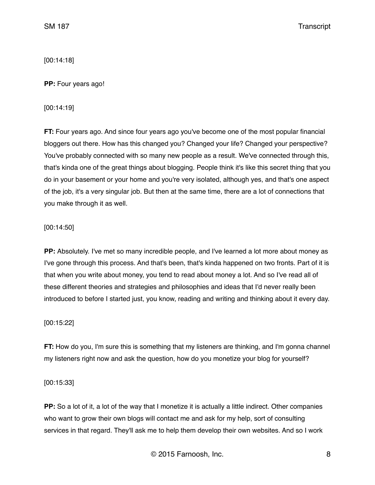[00:14:18]

**PP:** Four years ago!

[00:14:19]

**FT:** Four years ago. And since four years ago you've become one of the most popular financial bloggers out there. How has this changed you? Changed your life? Changed your perspective? You've probably connected with so many new people as a result. We've connected through this, that's kinda one of the great things about blogging. People think it's like this secret thing that you do in your basement or your home and you're very isolated, although yes, and that's one aspect of the job, it's a very singular job. But then at the same time, there are a lot of connections that you make through it as well.

### [00:14:50]

**PP:** Absolutely. I've met so many incredible people, and I've learned a lot more about money as I've gone through this process. And that's been, that's kinda happened on two fronts. Part of it is that when you write about money, you tend to read about money a lot. And so I've read all of these different theories and strategies and philosophies and ideas that I'd never really been introduced to before I started just, you know, reading and writing and thinking about it every day.

### [00:15:22]

**FT:** How do you, I'm sure this is something that my listeners are thinking, and I'm gonna channel my listeners right now and ask the question, how do you monetize your blog for yourself?

### [00:15:33]

**PP:** So a lot of it, a lot of the way that I monetize it is actually a little indirect. Other companies who want to grow their own blogs will contact me and ask for my help, sort of consulting services in that regard. They'll ask me to help them develop their own websites. And so I work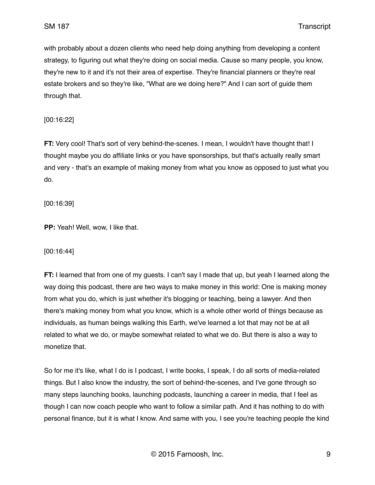with probably about a dozen clients who need help doing anything from developing a content strategy, to figuring out what they're doing on social media. Cause so many people, you know, they're new to it and it's not their area of expertise. They're financial planners or they're real estate brokers and so they're like, "What are we doing here?" And I can sort of guide them through that.

[00:16:22]

**FT:** Very cool! That's sort of very behind-the-scenes. I mean, I wouldn't have thought that! I thought maybe you do affiliate links or you have sponsorships, but that's actually really smart and very - that's an example of making money from what you know as opposed to just what you do.

[00:16:39]

**PP:** Yeah! Well, wow, I like that.

[00:16:44]

**FT:** I learned that from one of my guests. I can't say I made that up, but yeah I learned along the way doing this podcast, there are two ways to make money in this world: One is making money from what you do, which is just whether it's blogging or teaching, being a lawyer. And then there's making money from what you know, which is a whole other world of things because as individuals, as human beings walking this Earth, we've learned a lot that may not be at all related to what we do, or maybe somewhat related to what we do. But there is also a way to monetize that.

So for me it's like, what I do is I podcast, I write books, I speak, I do all sorts of media-related things. But I also know the industry, the sort of behind-the-scenes, and I've gone through so many steps launching books, launching podcasts, launching a career in media, that I feel as though I can now coach people who want to follow a similar path. And it has nothing to do with personal finance, but it is what I know. And same with you, I see you're teaching people the kind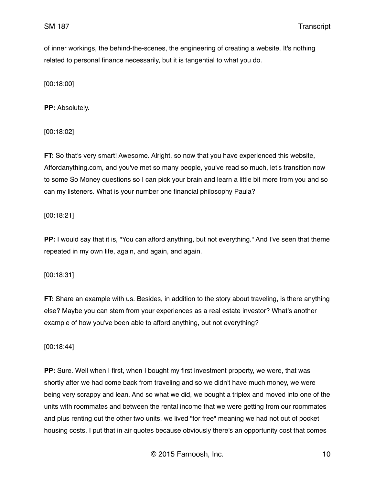of inner workings, the behind-the-scenes, the engineering of creating a website. It's nothing related to personal finance necessarily, but it is tangential to what you do.

[00:18:00]

**PP:** Absolutely.

[00:18:02]

**FT:** So that's very smart! Awesome. Alright, so now that you have experienced this website, Affordanything.com, and you've met so many people, you've read so much, let's transition now to some So Money questions so I can pick your brain and learn a little bit more from you and so can my listeners. What is your number one financial philosophy Paula?

[00:18:21]

**PP:** I would say that it is, "You can afford anything, but not everything." And I've seen that theme repeated in my own life, again, and again, and again.

[00:18:31]

**FT:** Share an example with us. Besides, in addition to the story about traveling, is there anything else? Maybe you can stem from your experiences as a real estate investor? What's another example of how you've been able to afford anything, but not everything?

[00:18:44]

**PP:** Sure. Well when I first, when I bought my first investment property, we were, that was shortly after we had come back from traveling and so we didn't have much money, we were being very scrappy and lean. And so what we did, we bought a triplex and moved into one of the units with roommates and between the rental income that we were getting from our roommates and plus renting out the other two units, we lived "for free" meaning we had not out of pocket housing costs. I put that in air quotes because obviously there's an opportunity cost that comes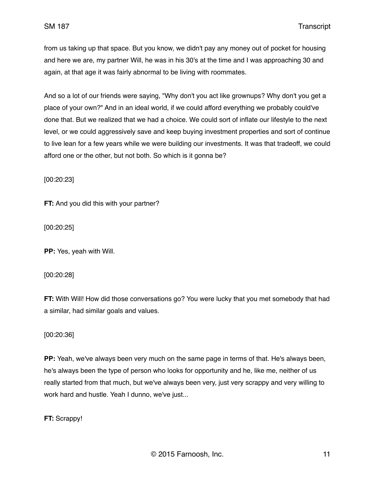from us taking up that space. But you know, we didn't pay any money out of pocket for housing and here we are, my partner Will, he was in his 30's at the time and I was approaching 30 and again, at that age it was fairly abnormal to be living with roommates.

And so a lot of our friends were saying, "Why don't you act like grownups? Why don't you get a place of your own?" And in an ideal world, if we could afford everything we probably could've done that. But we realized that we had a choice. We could sort of inflate our lifestyle to the next level, or we could aggressively save and keep buying investment properties and sort of continue to live lean for a few years while we were building our investments. It was that tradeoff, we could afford one or the other, but not both. So which is it gonna be?

[00:20:23]

**FT:** And you did this with your partner?

[00:20:25]

**PP:** Yes, yeah with Will.

[00:20:28]

**FT:** With Will! How did those conversations go? You were lucky that you met somebody that had a similar, had similar goals and values.

## [00:20:36]

**PP:** Yeah, we've always been very much on the same page in terms of that. He's always been, he's always been the type of person who looks for opportunity and he, like me, neither of us really started from that much, but we've always been very, just very scrappy and very willing to work hard and hustle. Yeah I dunno, we've just...

**FT:** Scrappy!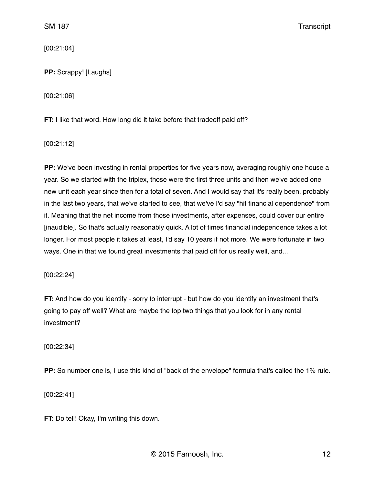[00:21:04]

**PP:** Scrappy! [Laughs]

[00:21:06]

**FT:** I like that word. How long did it take before that tradeoff paid off?

[00:21:12]

**PP:** We've been investing in rental properties for five years now, averaging roughly one house a year. So we started with the triplex, those were the first three units and then we've added one new unit each year since then for a total of seven. And I would say that it's really been, probably in the last two years, that we've started to see, that we've I'd say "hit financial dependence" from it. Meaning that the net income from those investments, after expenses, could cover our entire [inaudible]. So that's actually reasonably quick. A lot of times financial independence takes a lot longer. For most people it takes at least, I'd say 10 years if not more. We were fortunate in two ways. One in that we found great investments that paid off for us really well, and...

[00:22:24]

**FT:** And how do you identify - sorry to interrupt - but how do you identify an investment that's going to pay off well? What are maybe the top two things that you look for in any rental investment?

[00:22:34]

**PP:** So number one is, I use this kind of "back of the envelope" formula that's called the 1% rule.

[00:22:41]

**FT:** Do tell! Okay, I'm writing this down.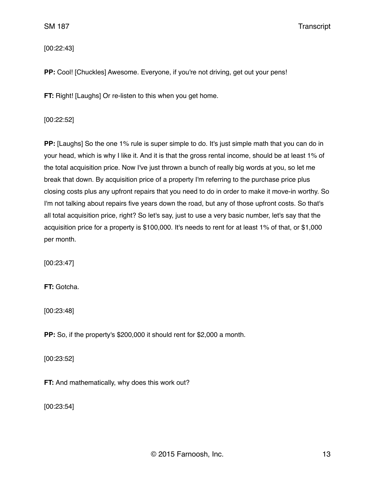[00:22:43]

**PP:** Cool! [Chuckles] Awesome. Everyone, if you're not driving, get out your pens!

**FT:** Right! [Laughs] Or re-listen to this when you get home.

#### [00:22:52]

**PP:** [Laughs] So the one 1% rule is super simple to do. It's just simple math that you can do in your head, which is why I like it. And it is that the gross rental income, should be at least 1% of the total acquisition price. Now I've just thrown a bunch of really big words at you, so let me break that down. By acquisition price of a property I'm referring to the purchase price plus closing costs plus any upfront repairs that you need to do in order to make it move-in worthy. So I'm not talking about repairs five years down the road, but any of those upfront costs. So that's all total acquisition price, right? So let's say, just to use a very basic number, let's say that the acquisition price for a property is \$100,000. It's needs to rent for at least 1% of that, or \$1,000 per month.

[00:23:47]

**FT:** Gotcha.

[00:23:48]

**PP:** So, if the property's \$200,000 it should rent for \$2,000 a month.

[00:23:52]

**FT:** And mathematically, why does this work out?

[00:23:54]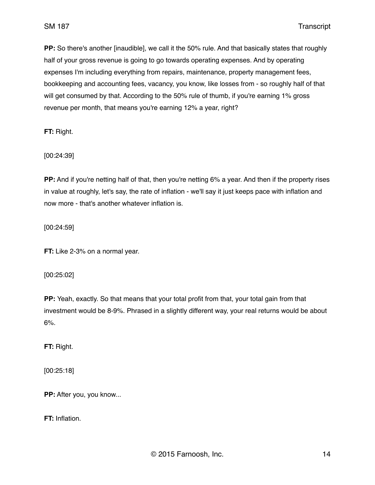**PP:** So there's another [inaudible], we call it the 50% rule. And that basically states that roughly half of your gross revenue is going to go towards operating expenses. And by operating expenses I'm including everything from repairs, maintenance, property management fees, bookkeeping and accounting fees, vacancy, you know, like losses from - so roughly half of that will get consumed by that. According to the 50% rule of thumb, if you're earning 1% gross revenue per month, that means you're earning 12% a year, right?

**FT:** Right.

[00:24:39]

**PP:** And if you're netting half of that, then you're netting 6% a year. And then if the property rises in value at roughly, let's say, the rate of inflation - we'll say it just keeps pace with inflation and now more - that's another whatever inflation is.

[00:24:59]

**FT:** Like 2-3% on a normal year.

#### [00:25:02]

**PP:** Yeah, exactly. So that means that your total profit from that, your total gain from that investment would be 8-9%. Phrased in a slightly different way, your real returns would be about 6%.

**FT:** Right.

[00:25:18]

**PP:** After you, you know...

**FT:** Inflation.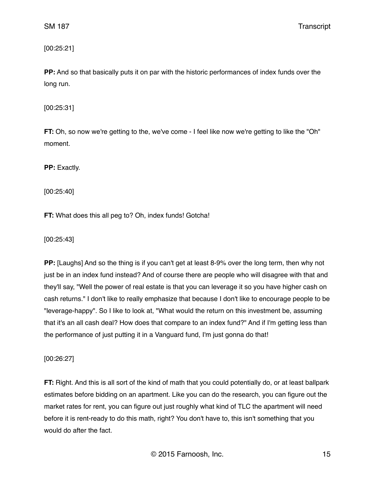[00:25:21]

**PP:** And so that basically puts it on par with the historic performances of index funds over the long run.

[00:25:31]

**FT:** Oh, so now we're getting to the, we've come - I feel like now we're getting to like the "Oh" moment.

**PP:** Exactly.

[00:25:40]

**FT:** What does this all peg to? Oh, index funds! Gotcha!

[00:25:43]

**PP:** [Laughs] And so the thing is if you can't get at least 8-9% over the long term, then why not just be in an index fund instead? And of course there are people who will disagree with that and they'll say, "Well the power of real estate is that you can leverage it so you have higher cash on cash returns." I don't like to really emphasize that because I don't like to encourage people to be "leverage-happy". So I like to look at, "What would the return on this investment be, assuming that it's an all cash deal? How does that compare to an index fund?" And if I'm getting less than the performance of just putting it in a Vanguard fund, I'm just gonna do that!

[00:26:27]

**FT:** Right. And this is all sort of the kind of math that you could potentially do, or at least ballpark estimates before bidding on an apartment. Like you can do the research, you can figure out the market rates for rent, you can figure out just roughly what kind of TLC the apartment will need before it is rent-ready to do this math, right? You don't have to, this isn't something that you would do after the fact.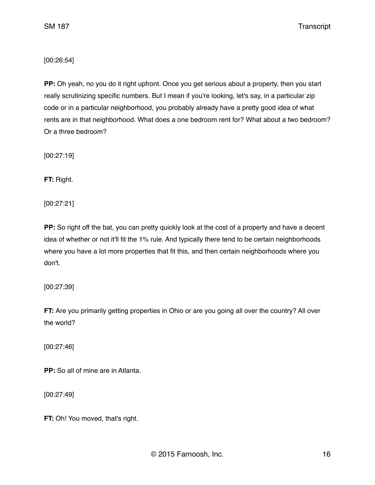[00:26:54]

**PP:** Oh yeah, no you do it right upfront. Once you get serious about a property, then you start really scrutinizing specific numbers. But I mean if you're looking, let's say, in a particular zip code or in a particular neighborhood, you probably already have a pretty good idea of what rents are in that neighborhood. What does a one bedroom rent for? What about a two bedroom? Or a three bedroom?

[00:27:19]

**FT:** Right.

[00:27:21]

**PP:** So right off the bat, you can pretty quickly look at the cost of a property and have a decent idea of whether or not it'll fit the 1% rule. And typically there tend to be certain neighborhoods where you have a lot more properties that fit this, and then certain neighborhoods where you don't.

[00:27:39]

**FT:** Are you primarily getting properties in Ohio or are you going all over the country? All over the world?

[00:27:46]

**PP:** So all of mine are in Atlanta.

[00:27:49]

**FT:** Oh! You moved, that's right.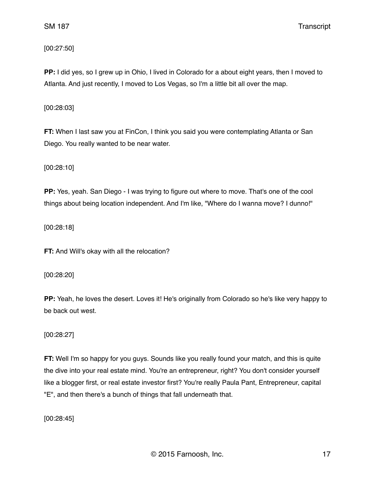[00:27:50]

**PP:** I did yes, so I grew up in Ohio, I lived in Colorado for a about eight years, then I moved to Atlanta. And just recently, I moved to Los Vegas, so I'm a little bit all over the map.

[00:28:03]

**FT:** When I last saw you at FinCon, I think you said you were contemplating Atlanta or San Diego. You really wanted to be near water.

[00:28:10]

**PP:** Yes, yeah. San Diego - I was trying to figure out where to move. That's one of the cool things about being location independent. And I'm like, "Where do I wanna move? I dunno!"

[00:28:18]

**FT:** And Will's okay with all the relocation?

[00:28:20]

**PP:** Yeah, he loves the desert. Loves it! He's originally from Colorado so he's like very happy to be back out west.

[00:28:27]

**FT:** Well I'm so happy for you guys. Sounds like you really found your match, and this is quite the dive into your real estate mind. You're an entrepreneur, right? You don't consider yourself like a blogger first, or real estate investor first? You're really Paula Pant, Entrepreneur, capital "E", and then there's a bunch of things that fall underneath that.

[00:28:45]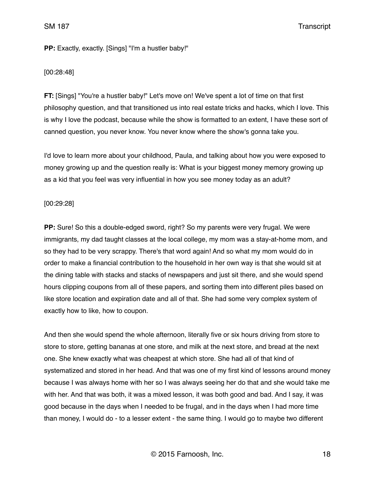#### **PP:** Exactly, exactly. [Sings] "I'm a hustler baby!"

#### [00:28:48]

**FT:** [Sings] "You're a hustler baby!" Let's move on! We've spent a lot of time on that first philosophy question, and that transitioned us into real estate tricks and hacks, which I love. This is why I love the podcast, because while the show is formatted to an extent, I have these sort of canned question, you never know. You never know where the show's gonna take you.

I'd love to learn more about your childhood, Paula, and talking about how you were exposed to money growing up and the question really is: What is your biggest money memory growing up as a kid that you feel was very influential in how you see money today as an adult?

#### [00:29:28]

**PP:** Sure! So this a double-edged sword, right? So my parents were very frugal. We were immigrants, my dad taught classes at the local college, my mom was a stay-at-home mom, and so they had to be very scrappy. There's that word again! And so what my mom would do in order to make a financial contribution to the household in her own way is that she would sit at the dining table with stacks and stacks of newspapers and just sit there, and she would spend hours clipping coupons from all of these papers, and sorting them into different piles based on like store location and expiration date and all of that. She had some very complex system of exactly how to like, how to coupon.

And then she would spend the whole afternoon, literally five or six hours driving from store to store to store, getting bananas at one store, and milk at the next store, and bread at the next one. She knew exactly what was cheapest at which store. She had all of that kind of systematized and stored in her head. And that was one of my first kind of lessons around money because I was always home with her so I was always seeing her do that and she would take me with her. And that was both, it was a mixed lesson, it was both good and bad. And I say, it was good because in the days when I needed to be frugal, and in the days when I had more time than money, I would do - to a lesser extent - the same thing. I would go to maybe two different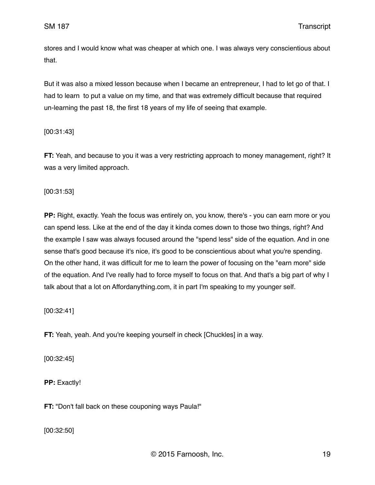stores and I would know what was cheaper at which one. I was always very conscientious about that.

But it was also a mixed lesson because when I became an entrepreneur, I had to let go of that. I had to learn to put a value on my time, and that was extremely difficult because that required un-learning the past 18, the first 18 years of my life of seeing that example.

[00:31:43]

**FT:** Yeah, and because to you it was a very restricting approach to money management, right? It was a very limited approach.

[00:31:53]

**PP:** Right, exactly. Yeah the focus was entirely on, you know, there's - you can earn more or you can spend less. Like at the end of the day it kinda comes down to those two things, right? And the example I saw was always focused around the "spend less" side of the equation. And in one sense that's good because it's nice, it's good to be conscientious about what you're spending. On the other hand, it was difficult for me to learn the power of focusing on the "earn more" side of the equation. And I've really had to force myself to focus on that. And that's a big part of why I talk about that a lot on Affordanything.com, it in part I'm speaking to my younger self.

[00:32:41]

**FT:** Yeah, yeah. And you're keeping yourself in check [Chuckles] in a way.

[00:32:45]

**PP:** Exactly!

**FT:** "Don't fall back on these couponing ways Paula!"

[00:32:50]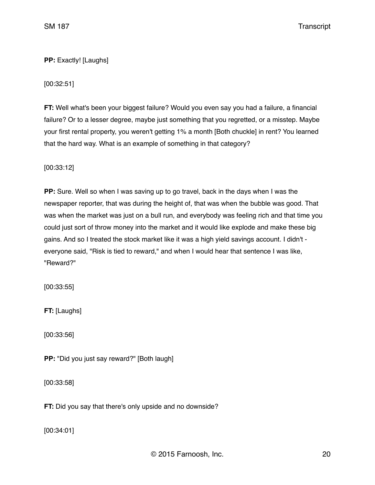# **PP:** Exactly! [Laughs]

[00:32:51]

**FT:** Well what's been your biggest failure? Would you even say you had a failure, a financial failure? Or to a lesser degree, maybe just something that you regretted, or a misstep. Maybe your first rental property, you weren't getting 1% a month [Both chuckle] in rent? You learned that the hard way. What is an example of something in that category?

[00:33:12]

**PP:** Sure. Well so when I was saving up to go travel, back in the days when I was the newspaper reporter, that was during the height of, that was when the bubble was good. That was when the market was just on a bull run, and everybody was feeling rich and that time you could just sort of throw money into the market and it would like explode and make these big gains. And so I treated the stock market like it was a high yield savings account. I didn't everyone said, "Risk is tied to reward," and when I would hear that sentence I was like, "Reward?"

[00:33:55]

**FT:** [Laughs]

[00:33:56]

**PP:** "Did you just say reward?" [Both laugh]

[00:33:58]

**FT:** Did you say that there's only upside and no downside?

[00:34:01]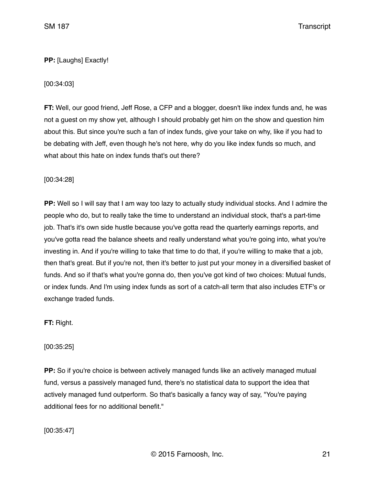# **PP:** [Laughs] Exactly!

# [00:34:03]

**FT:** Well, our good friend, Jeff Rose, a CFP and a blogger, doesn't like index funds and, he was not a guest on my show yet, although I should probably get him on the show and question him about this. But since you're such a fan of index funds, give your take on why, like if you had to be debating with Jeff, even though he's not here, why do you like index funds so much, and what about this hate on index funds that's out there?

### [00:34:28]

**PP:** Well so I will say that I am way too lazy to actually study individual stocks. And I admire the people who do, but to really take the time to understand an individual stock, that's a part-time job. That's it's own side hustle because you've gotta read the quarterly earnings reports, and you've gotta read the balance sheets and really understand what you're going into, what you're investing in. And if you're willing to take that time to do that, if you're willing to make that a job, then that's great. But if you're not, then it's better to just put your money in a diversified basket of funds. And so if that's what you're gonna do, then you've got kind of two choices: Mutual funds, or index funds. And I'm using index funds as sort of a catch-all term that also includes ETF's or exchange traded funds.

**FT:** Right.

[00:35:25]

**PP:** So if you're choice is between actively managed funds like an actively managed mutual fund, versus a passively managed fund, there's no statistical data to support the idea that actively managed fund outperform. So that's basically a fancy way of say, "You're paying additional fees for no additional benefit."

[00:35:47]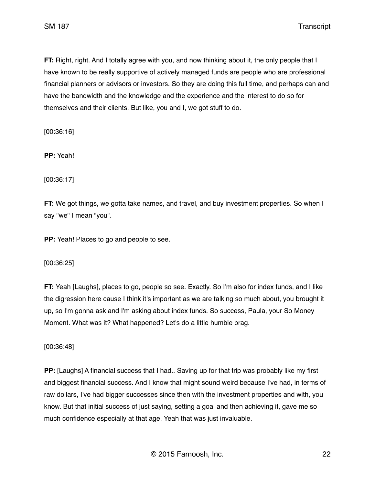**FT:** Right, right. And I totally agree with you, and now thinking about it, the only people that I have known to be really supportive of actively managed funds are people who are professional financial planners or advisors or investors. So they are doing this full time, and perhaps can and have the bandwidth and the knowledge and the experience and the interest to do so for themselves and their clients. But like, you and I, we got stuff to do.

[00:36:16]

**PP:** Yeah!

[00:36:17]

**FT:** We got things, we gotta take names, and travel, and buy investment properties. So when I say "we" I mean "you".

**PP:** Yeah! Places to go and people to see.

[00:36:25]

**FT:** Yeah [Laughs], places to go, people so see. Exactly. So I'm also for index funds, and I like the digression here cause I think it's important as we are talking so much about, you brought it up, so I'm gonna ask and I'm asking about index funds. So success, Paula, your So Money Moment. What was it? What happened? Let's do a little humble brag.

[00:36:48]

**PP:** [Laughs] A financial success that I had.. Saving up for that trip was probably like my first and biggest financial success. And I know that might sound weird because I've had, in terms of raw dollars, I've had bigger successes since then with the investment properties and with, you know. But that initial success of just saying, setting a goal and then achieving it, gave me so much confidence especially at that age. Yeah that was just invaluable.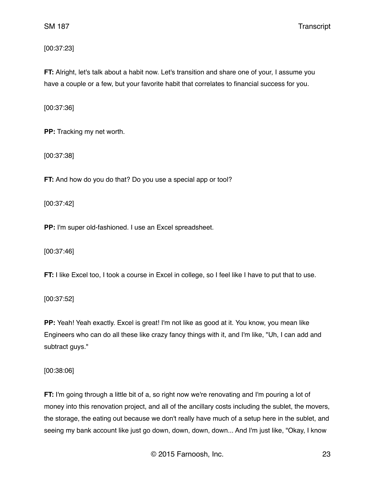[00:37:23]

**FT:** Alright, let's talk about a habit now. Let's transition and share one of your, I assume you have a couple or a few, but your favorite habit that correlates to financial success for you.

[00:37:36]

**PP:** Tracking my net worth.

[00:37:38]

**FT:** And how do you do that? Do you use a special app or tool?

[00:37:42]

**PP:** I'm super old-fashioned. I use an Excel spreadsheet.

[00:37:46]

**FT:** I like Excel too, I took a course in Excel in college, so I feel like I have to put that to use.

[00:37:52]

**PP:** Yeah! Yeah exactly. Excel is great! I'm not like as good at it. You know, you mean like Engineers who can do all these like crazy fancy things with it, and I'm like, "Uh, I can add and subtract guys."

[00:38:06]

**FT:** I'm going through a little bit of a, so right now we're renovating and I'm pouring a lot of money into this renovation project, and all of the ancillary costs including the sublet, the movers, the storage, the eating out because we don't really have much of a setup here in the sublet, and seeing my bank account like just go down, down, down, down... And I'm just like, "Okay, I know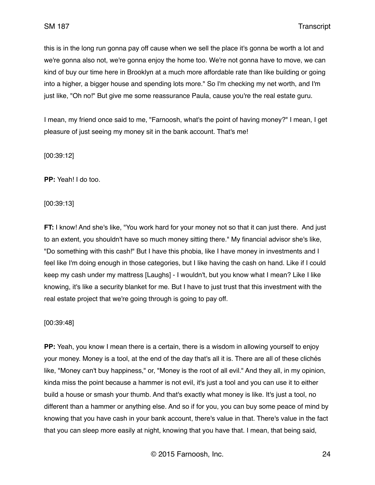this is in the long run gonna pay off cause when we sell the place it's gonna be worth a lot and we're gonna also not, we're gonna enjoy the home too. We're not gonna have to move, we can kind of buy our time here in Brooklyn at a much more affordable rate than like building or going into a higher, a bigger house and spending lots more." So I'm checking my net worth, and I'm just like, "Oh no!" But give me some reassurance Paula, cause you're the real estate guru.

I mean, my friend once said to me, "Farnoosh, what's the point of having money?" I mean, I get pleasure of just seeing my money sit in the bank account. That's me!

[00:39:12]

**PP:** Yeah! I do too.

[00:39:13]

**FT:** I know! And she's like, "You work hard for your money not so that it can just there. And just to an extent, you shouldn't have so much money sitting there." My financial advisor she's like, "Do something with this cash!" But I have this phobia, like I have money in investments and I feel like I'm doing enough in those categories, but I like having the cash on hand. Like if I could keep my cash under my mattress [Laughs] - I wouldn't, but you know what I mean? Like I like knowing, it's like a security blanket for me. But I have to just trust that this investment with the real estate project that we're going through is going to pay off.

[00:39:48]

**PP:** Yeah, you know I mean there is a certain, there is a wisdom in allowing yourself to enjoy your money. Money is a tool, at the end of the day that's all it is. There are all of these clichés like, "Money can't buy happiness," or, "Money is the root of all evil." And they all, in my opinion, kinda miss the point because a hammer is not evil, it's just a tool and you can use it to either build a house or smash your thumb. And that's exactly what money is like. It's just a tool, no different than a hammer or anything else. And so if for you, you can buy some peace of mind by knowing that you have cash in your bank account, there's value in that. There's value in the fact that you can sleep more easily at night, knowing that you have that. I mean, that being said,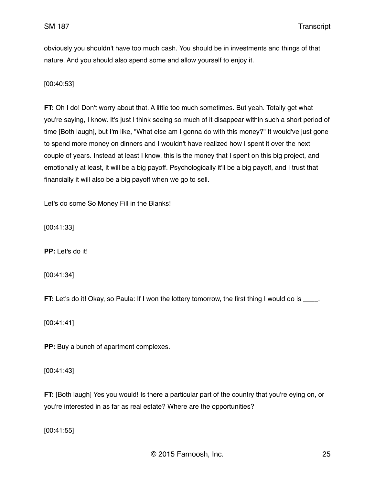obviously you shouldn't have too much cash. You should be in investments and things of that nature. And you should also spend some and allow yourself to enjoy it.

[00:40:53]

**FT:** Oh I do! Don't worry about that. A little too much sometimes. But yeah. Totally get what you're saying, I know. It's just I think seeing so much of it disappear within such a short period of time [Both laugh], but I'm like, "What else am I gonna do with this money?" It would've just gone to spend more money on dinners and I wouldn't have realized how I spent it over the next couple of years. Instead at least I know, this is the money that I spent on this big project, and emotionally at least, it will be a big payoff. Psychologically it'll be a big payoff, and I trust that financially it will also be a big payoff when we go to sell.

Let's do some So Money Fill in the Blanks!

[00:41:33]

**PP:** Let's do it!

[00:41:34]

**FT:** Let's do it! Okay, so Paula: If I won the lottery tomorrow, the first thing I would do is \_\_\_\_.

[00:41:41]

**PP:** Buy a bunch of apartment complexes.

[00:41:43]

**FT:** [Both laugh] Yes you would! Is there a particular part of the country that you're eying on, or you're interested in as far as real estate? Where are the opportunities?

[00:41:55]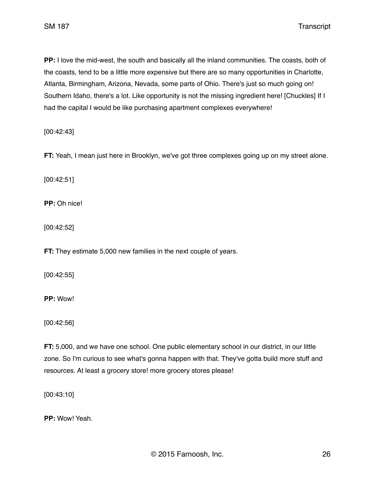**PP:** I love the mid-west, the south and basically all the inland communities. The coasts, both of the coasts, tend to be a little more expensive but there are so many opportunities in Charlotte, Atlanta, Birmingham, Arizona, Nevada, some parts of Ohio. There's just so much going on! Southern Idaho, there's a lot. Like opportunity is not the missing ingredient here! [Chuckles] If I had the capital I would be like purchasing apartment complexes everywhere!

[00:42:43]

**FT:** Yeah, I mean just here in Brooklyn, we've got three complexes going up on my street alone.

[00:42:51]

**PP:** Oh nice!

[00:42:52]

**FT:** They estimate 5,000 new families in the next couple of years.

[00:42:55]

**PP:** Wow!

[00:42:56]

**FT:** 5,000, and we have one school. One public elementary school in our district, in our little zone. So I'm curious to see what's gonna happen with that. They've gotta build more stuff and resources. At least a grocery store! more grocery stores please!

[00:43:10]

**PP:** Wow! Yeah.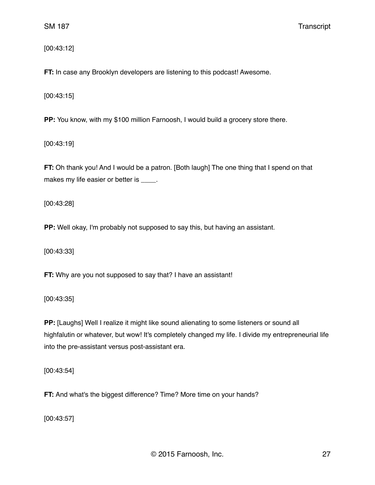[00:43:12]

**FT:** In case any Brooklyn developers are listening to this podcast! Awesome.

[00:43:15]

**PP:** You know, with my \$100 million Farnoosh, I would build a grocery store there.

[00:43:19]

**FT:** Oh thank you! And I would be a patron. [Both laugh] The one thing that I spend on that makes my life easier or better is \_\_\_\_.

[00:43:28]

**PP:** Well okay, I'm probably not supposed to say this, but having an assistant.

[00:43:33]

**FT:** Why are you not supposed to say that? I have an assistant!

[00:43:35]

**PP:** [Laughs] Well I realize it might like sound alienating to some listeners or sound all highfalutin or whatever, but wow! It's completely changed my life. I divide my entrepreneurial life into the pre-assistant versus post-assistant era.

[00:43:54]

**FT:** And what's the biggest difference? Time? More time on your hands?

[00:43:57]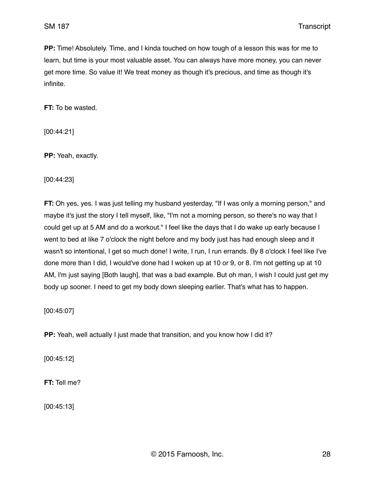**PP:** Time! Absolutely. Time, and I kinda touched on how tough of a lesson this was for me to learn, but time is your most valuable asset. You can always have more money, you can never get more time. So value it! We treat money as though it's precious, and time as though it's infinite.

**FT:** To be wasted.

[00:44:21]

**PP:** Yeah, exactly.

[00:44:23]

**FT:** Oh yes, yes. I was just telling my husband yesterday, "If I was only a morning person," and maybe it's just the story I tell myself, like, "I'm not a morning person, so there's no way that I could get up at 5 AM and do a workout." I feel like the days that I do wake up early because I went to bed at like 7 o'clock the night before and my body just has had enough sleep and it wasn't so intentional, I get so much done! I write, I run, I run errands. By 8 o'clock I feel like I've done more than I did, I would've done had I woken up at 10 or 9, or 8. I'm not getting up at 10 AM, I'm just saying [Both laugh], that was a bad example. But oh man, I wish I could just get my body up sooner. I need to get my body down sleeping earlier. That's what has to happen.

[00:45:07]

**PP:** Yeah, well actually I just made that transition, and you know how I did it?

[00:45:12]

**FT:** Tell me?

[00:45:13]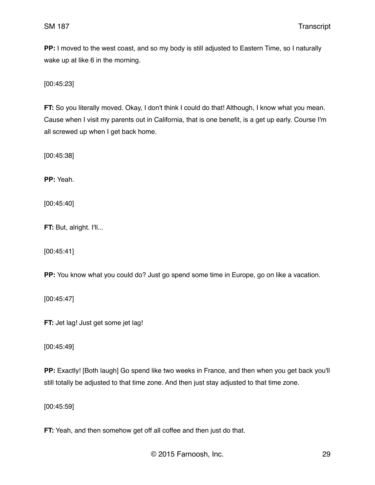**PP:** I moved to the west coast, and so my body is still adjusted to Eastern Time, so I naturally wake up at like 6 in the morning.

[00:45:23]

**FT:** So you literally moved. Okay, I don't think I could do that! Although, I know what you mean. Cause when I visit my parents out in California, that is one benefit, is a get up early. Course I'm all screwed up when I get back home.

[00:45:38]

**PP:** Yeah.

[00:45:40]

**FT: But, alright. I'll...** 

[00:45:41]

**PP:** You know what you could do? Just go spend some time in Europe, go on like a vacation.

[00:45:47]

**FT:** Jet lag! Just get some jet lag!

[00:45:49]

**PP:** Exactly! [Both laugh] Go spend like two weeks in France, and then when you get back you'll still totally be adjusted to that time zone. And then just stay adjusted to that time zone.

[00:45:59]

**FT:** Yeah, and then somehow get off all coffee and then just do that.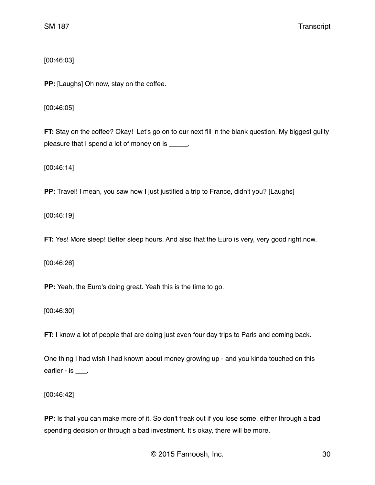[00:46:03]

**PP:** [Laughs] Oh now, stay on the coffee.

[00:46:05]

**FT:** Stay on the coffee? Okay! Let's go on to our next fill in the blank question. My biggest guilty pleasure that I spend a lot of money on is \_\_\_\_\_.

[00:46:14]

**PP:** Travel! I mean, you saw how I just justified a trip to France, didn't you? [Laughs]

[00:46:19]

**FT:** Yes! More sleep! Better sleep hours. And also that the Euro is very, very good right now.

[00:46:26]

**PP:** Yeah, the Euro's doing great. Yeah this is the time to go.

[00:46:30]

**FT:** I know a lot of people that are doing just even four day trips to Paris and coming back.

One thing I had wish I had known about money growing up - and you kinda touched on this earlier - is \_\_\_\_.

[00:46:42]

**PP:** Is that you can make more of it. So don't freak out if you lose some, either through a bad spending decision or through a bad investment. It's okay, there will be more.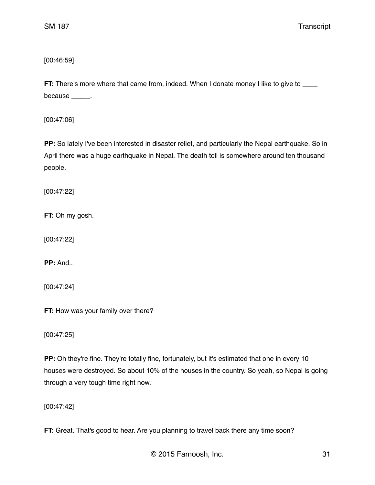[00:46:59]

**FT:** There's more where that came from, indeed. When I donate money I like to give to \_\_\_\_ because \_\_\_\_\_\_.

[00:47:06]

**PP:** So lately I've been interested in disaster relief, and particularly the Nepal earthquake. So in April there was a huge earthquake in Nepal. The death toll is somewhere around ten thousand people.

[00:47:22]

**FT:** Oh my gosh.

[00:47:22]

**PP: And..** 

[00:47:24]

**FT:** How was your family over there?

[00:47:25]

**PP:** Oh they're fine. They're totally fine, fortunately, but it's estimated that one in every 10 houses were destroyed. So about 10% of the houses in the country. So yeah, so Nepal is going through a very tough time right now.

[00:47:42]

**FT:** Great. That's good to hear. Are you planning to travel back there any time soon?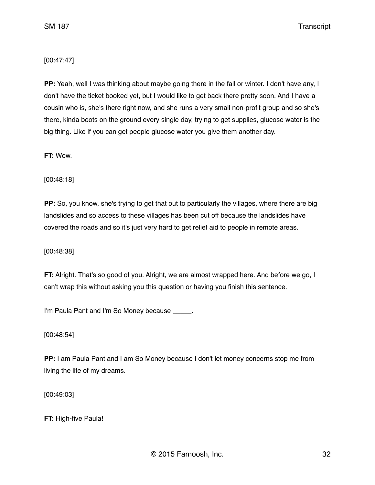## [00:47:47]

**PP:** Yeah, well I was thinking about maybe going there in the fall or winter. I don't have any, I don't have the ticket booked yet, but I would like to get back there pretty soon. And I have a cousin who is, she's there right now, and she runs a very small non-profit group and so she's there, kinda boots on the ground every single day, trying to get supplies, glucose water is the big thing. Like if you can get people glucose water you give them another day.

**FT:** Wow.

[00:48:18]

**PP:** So, you know, she's trying to get that out to particularly the villages, where there are big landslides and so access to these villages has been cut off because the landslides have covered the roads and so it's just very hard to get relief aid to people in remote areas.

[00:48:38]

**FT:** Alright. That's so good of you. Alright, we are almost wrapped here. And before we go, I can't wrap this without asking you this question or having you finish this sentence.

I'm Paula Pant and I'm So Money because \_\_\_\_\_.

[00:48:54]

**PP:** I am Paula Pant and I am So Money because I don't let money concerns stop me from living the life of my dreams.

[00:49:03]

**FT:** High-five Paula!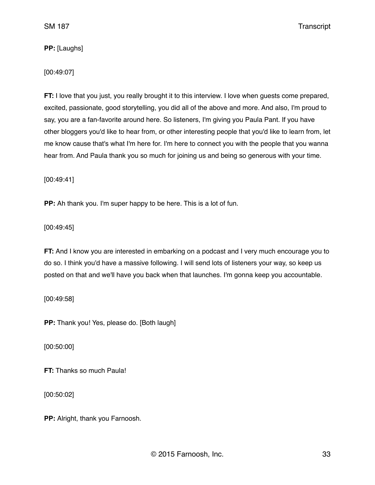**PP:** [Laughs]

#### [00:49:07]

**FT:** I love that you just, you really brought it to this interview. I love when guests come prepared, excited, passionate, good storytelling, you did all of the above and more. And also, I'm proud to say, you are a fan-favorite around here. So listeners, I'm giving you Paula Pant. If you have other bloggers you'd like to hear from, or other interesting people that you'd like to learn from, let me know cause that's what I'm here for. I'm here to connect you with the people that you wanna hear from. And Paula thank you so much for joining us and being so generous with your time.

[00:49:41]

**PP:** Ah thank you. I'm super happy to be here. This is a lot of fun.

[00:49:45]

**FT:** And I know you are interested in embarking on a podcast and I very much encourage you to do so. I think you'd have a massive following. I will send lots of listeners your way, so keep us posted on that and we'll have you back when that launches. I'm gonna keep you accountable.

[00:49:58]

**PP:** Thank you! Yes, please do. [Both laugh]

[00:50:00]

**FT:** Thanks so much Paula!

[00:50:02]

**PP:** Alright, thank you Farnoosh.